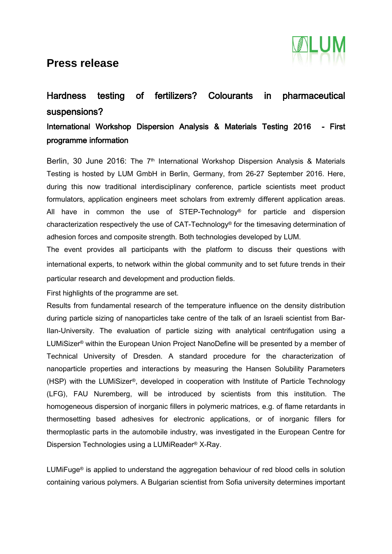### **Press release**



# Hardness testing of fertilizers? Colourants in pharmaceutical suspensions?

#### International Workshop Dispersion Analysis & Materials Testing 2016 - First programme information

Berlin, 30 June 2016: The 7<sup>th</sup> International Workshop Dispersion Analysis & Materials Testing is hosted by LUM GmbH in Berlin, Germany, from 26-27 September 2016. Here, during this now traditional interdisciplinary conference, particle scientists meet product formulators, application engineers meet scholars from extremly different application areas. All have in common the use of STEP-Technology<sup>®</sup> for particle and dispersion characterization respectively the use of CAT-Technology® for the timesaving determination of adhesion forces and composite strength. Both technologies developed by LUM.

The event provides all participants with the platform to discuss their questions with international experts, to network within the global community and to set future trends in their particular research and development and production fields.

First highlights of the programme are set.

Results from fundamental research of the temperature influence on the density distribution during particle sizing of nanoparticles take centre of the talk of an Israeli scientist from Bar-Ilan-University. The evaluation of particle sizing with analytical centrifugation using a LUMiSizer® within the European Union Project NanoDefine will be presented by a member of Technical University of Dresden. A standard procedure for the characterization of nanoparticle properties and interactions by measuring the Hansen Solubility Parameters (HSP) with the LUMiSizer®, developed in cooperation with Institute of Particle Technology (LFG), FAU Nuremberg, will be introduced by scientists from this institution. The homogeneous dispersion of inorganic fillers in polymeric matrices, e.g. of flame retardants in thermosetting based adhesives for electronic applications, or of inorganic fillers for thermoplastic parts in the automobile industry, was investigated in the European Centre for Dispersion Technologies using a LUMiReader® X-Ray.

LUMiFuge® is applied to understand the aggregation behaviour of red blood cells in solution containing various polymers. A Bulgarian scientist from Sofia university determines important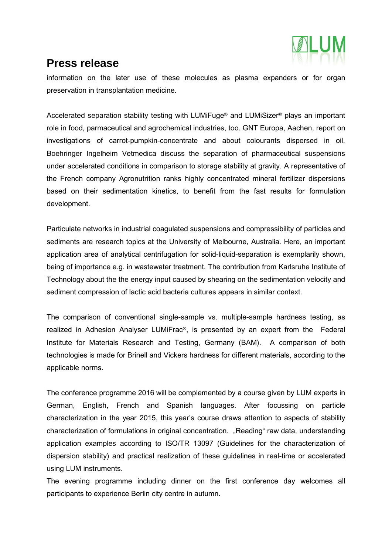

### **Press release**

information on the later use of these molecules as plasma expanders or for organ preservation in transplantation medicine.

Accelerated separation stability testing with LUMiFuge® and LUMiSizer® plays an important role in food, parmaceutical and agrochemical industries, too. GNT Europa, Aachen, report on investigations of carrot-pumpkin-concentrate and about colourants dispersed in oil. Boehringer Ingelheim Vetmedica discuss the separation of pharmaceutical suspensions under accelerated conditions in comparison to storage stability at gravity. A representative of the French company Agronutrition ranks highly concentrated mineral fertilizer dispersions based on their sedimentation kinetics, to benefit from the fast results for formulation development.

Particulate networks in industrial coagulated suspensions and compressibility of particles and sediments are research topics at the University of Melbourne, Australia. Here, an important application area of analytical centrifugation for solid-liquid-separation is exemplarily shown, being of importance e.g. in wastewater treatment. The contribution from Karlsruhe Institute of Technology about the the energy input caused by shearing on the sedimentation velocity and sediment compression of lactic acid bacteria cultures appears in similar context.

The comparison of conventional single-sample vs. multiple-sample hardness testing, as realized in Adhesion Analyser LUMiFrac®, is presented by an expert from the Federal Institute for Materials Research and Testing, Germany (BAM). A comparison of both technologies is made for Brinell and Vickers hardness for different materials, according to the applicable norms.

The conference programme 2016 will be complemented by a course given by LUM experts in German, English, French and Spanish languages. After focussing on particle characterization in the year 2015, this year's course draws attention to aspects of stability characterization of formulations in original concentration. "Reading" raw data, understanding application examples according to ISO/TR 13097 (Guidelines for the characterization of dispersion stability) and practical realization of these guidelines in real-time or accelerated using LUM instruments.

The evening programme including dinner on the first conference day welcomes all participants to experience Berlin city centre in autumn.